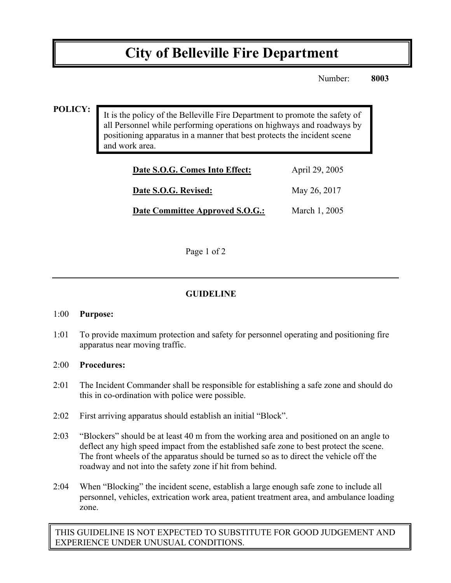# **City of Belleville Fire Department**

Number: **8003**

### **POLICY:**

It is the policy of the Belleville Fire Department to promote the safety of all Personnel while performing operations on highways and roadways by positioning apparatus in a manner that best protects the incident scene and work area.

| Date S.O.G. Comes Into Effect:  | April 29, 2005 |
|---------------------------------|----------------|
| Date S.O.G. Revised:            | May 26, 2017   |
| Date Committee Approved S.O.G.: | March 1, 2005  |

Page 1 of 2

## **GUIDELINE**

#### 1:00 **Purpose:**

1:01 To provide maximum protection and safety for personnel operating and positioning fire apparatus near moving traffic.

#### 2:00 **Procedures:**

- 2:01 The Incident Commander shall be responsible for establishing a safe zone and should do this in co-ordination with police were possible.
- 2:02 First arriving apparatus should establish an initial "Block".
- 2:03 "Blockers" should be at least 40 m from the working area and positioned on an angle to deflect any high speed impact from the established safe zone to best protect the scene. The front wheels of the apparatus should be turned so as to direct the vehicle off the roadway and not into the safety zone if hit from behind.
- 2:04 When "Blocking" the incident scene, establish a large enough safe zone to include all personnel, vehicles, extrication work area, patient treatment area, and ambulance loading zone.

THIS GUIDELINE IS NOT EXPECTED TO SUBSTITUTE FOR GOOD JUDGEMENT AND EXPERIENCE UNDER UNUSUAL CONDITIONS.